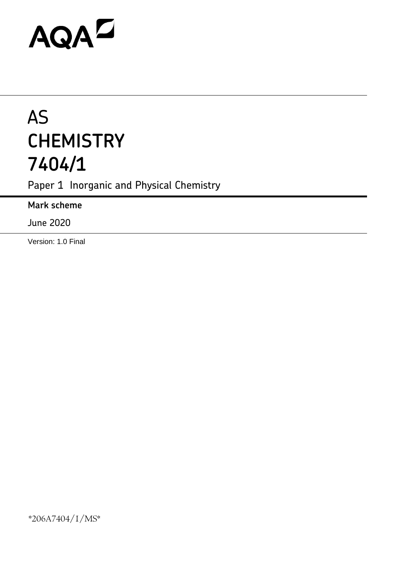# AQAD

## AS **CHEMISTRY 7404/1**

Paper 1 Inorganic and Physical Chemistry

**Mark scheme**

June 2020

Version: 1.0 Final

\*206A7404/1/MS\*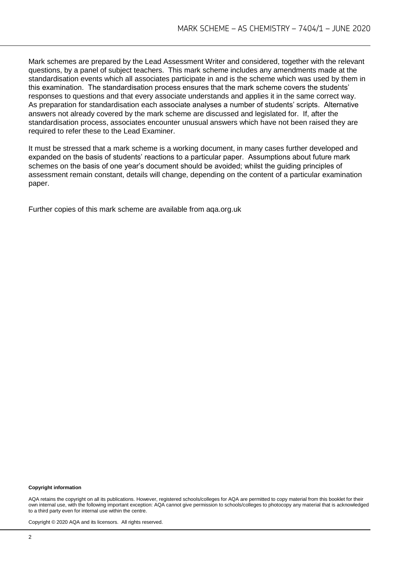Mark schemes are prepared by the Lead Assessment Writer and considered, together with the relevant questions, by a panel of subject teachers. This mark scheme includes any amendments made at the standardisation events which all associates participate in and is the scheme which was used by them in this examination. The standardisation process ensures that the mark scheme covers the students' responses to questions and that every associate understands and applies it in the same correct way. As preparation for standardisation each associate analyses a number of students' scripts. Alternative answers not already covered by the mark scheme are discussed and legislated for. If, after the standardisation process, associates encounter unusual answers which have not been raised they are required to refer these to the Lead Examiner.

It must be stressed that a mark scheme is a working document, in many cases further developed and expanded on the basis of students' reactions to a particular paper. Assumptions about future mark schemes on the basis of one year's document should be avoided; whilst the guiding principles of assessment remain constant, details will change, depending on the content of a particular examination paper.

Further copies of this mark scheme are available from aqa.org.uk

#### **Copyright information**

AQA retains the copyright on all its publications. However, registered schools/colleges for AQA are permitted to copy material from this booklet for their own internal use, with the following important exception: AQA cannot give permission to schools/colleges to photocopy any material that is acknowledged to a third party even for internal use within the centre.

Copyright © 2020 AQA and its licensors. All rights reserved.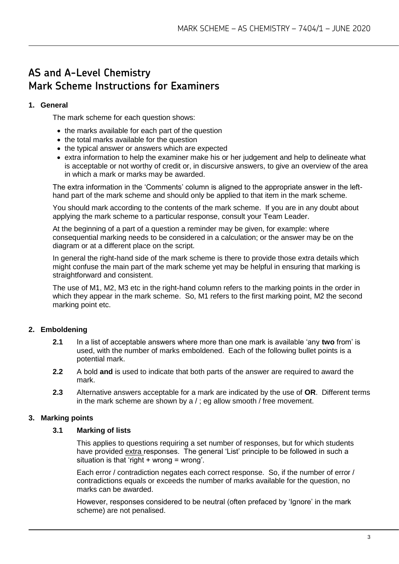### **AS and A-Level Chemistry Mark Scheme Instructions for Examiners**

#### **1. General**

The mark scheme for each question shows:

- the marks available for each part of the question
- the total marks available for the question
- the typical answer or answers which are expected
- extra information to help the examiner make his or her judgement and help to delineate what is acceptable or not worthy of credit or, in discursive answers, to give an overview of the area in which a mark or marks may be awarded.

The extra information in the 'Comments' column is aligned to the appropriate answer in the lefthand part of the mark scheme and should only be applied to that item in the mark scheme.

You should mark according to the contents of the mark scheme. If you are in any doubt about applying the mark scheme to a particular response, consult your Team Leader.

At the beginning of a part of a question a reminder may be given, for example: where consequential marking needs to be considered in a calculation; or the answer may be on the diagram or at a different place on the script.

In general the right-hand side of the mark scheme is there to provide those extra details which might confuse the main part of the mark scheme yet may be helpful in ensuring that marking is straightforward and consistent.

The use of M1, M2, M3 etc in the right-hand column refers to the marking points in the order in which they appear in the mark scheme. So, M1 refers to the first marking point, M2 the second marking point etc.

#### **2. Emboldening**

- **2.1** In a list of acceptable answers where more than one mark is available 'any **two** from' is used, with the number of marks emboldened. Each of the following bullet points is a potential mark.
- **2.2** A bold **and** is used to indicate that both parts of the answer are required to award the mark.
- **2.3** Alternative answers acceptable for a mark are indicated by the use of **OR**. Different terms in the mark scheme are shown by a / ; eg allow smooth / free movement.

#### **3. Marking points**

#### **3.1 Marking of lists**

This applies to questions requiring a set number of responses, but for which students have provided extra responses. The general 'List' principle to be followed in such a situation is that 'right  $+$  wrong = wrong'.

Each error / contradiction negates each correct response. So, if the number of error / contradictions equals or exceeds the number of marks available for the question, no marks can be awarded.

However, responses considered to be neutral (often prefaced by 'Ignore' in the mark scheme) are not penalised.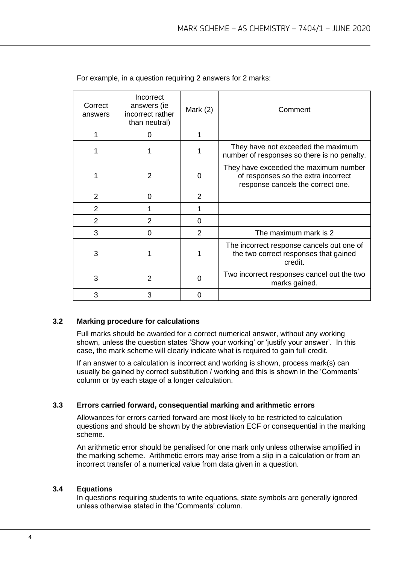| Correct<br>answers | Incorrect<br>answers (ie<br>incorrect rather<br>than neutral) | Mark $(2)$     | Comment                                                                                                           |
|--------------------|---------------------------------------------------------------|----------------|-------------------------------------------------------------------------------------------------------------------|
|                    | 0                                                             |                |                                                                                                                   |
|                    |                                                               |                | They have not exceeded the maximum<br>number of responses so there is no penalty.                                 |
|                    | 2                                                             | 0              | They have exceeded the maximum number<br>of responses so the extra incorrect<br>response cancels the correct one. |
| 2                  | $\Omega$                                                      | 2              |                                                                                                                   |
| 2                  |                                                               |                |                                                                                                                   |
| $\overline{2}$     | $\overline{2}$                                                | $\Omega$       |                                                                                                                   |
| 3                  | 0                                                             | $\overline{2}$ | The maximum mark is 2                                                                                             |
| 3                  | 1                                                             | 1              | The incorrect response cancels out one of<br>the two correct responses that gained<br>credit.                     |
| 3                  | $\overline{2}$                                                | $\Omega$       | Two incorrect responses cancel out the two<br>marks gained.                                                       |
| 3                  | 3                                                             | O              |                                                                                                                   |

For example, in a question requiring 2 answers for 2 marks:

#### **3.2 Marking procedure for calculations**

Full marks should be awarded for a correct numerical answer, without any working shown, unless the question states 'Show your working' or 'justify your answer'. In this case, the mark scheme will clearly indicate what is required to gain full credit.

If an answer to a calculation is incorrect and working is shown, process mark(s) can usually be gained by correct substitution / working and this is shown in the 'Comments' column or by each stage of a longer calculation.

#### **3.3 Errors carried forward, consequential marking and arithmetic errors**

Allowances for errors carried forward are most likely to be restricted to calculation questions and should be shown by the abbreviation ECF or consequential in the marking scheme.

An arithmetic error should be penalised for one mark only unless otherwise amplified in the marking scheme. Arithmetic errors may arise from a slip in a calculation or from an incorrect transfer of a numerical value from data given in a question.

#### **3.4 Equations**

In questions requiring students to write equations, state symbols are generally ignored unless otherwise stated in the 'Comments' column.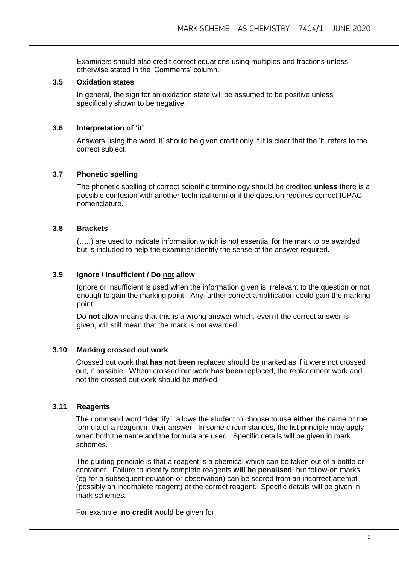Examiners should also credit correct equations using multiples and fractions unless otherwise stated in the 'Comments' column.

#### **3.5 Oxidation states**

In general, the sign for an oxidation state will be assumed to be positive unless specifically shown to be negative.

#### **3.6 Interpretation of 'it'**

Answers using the word 'it' should be given credit only if it is clear that the 'it' refers to the correct subject.

#### **3.7 Phonetic spelling**

The phonetic spelling of correct scientific terminology should be credited **unless** there is a possible confusion with another technical term or if the question requires correct IUPAC nomenclature.

#### **3.8 Brackets**

(…..) are used to indicate information which is not essential for the mark to be awarded but is included to help the examiner identify the sense of the answer required.

#### **3.9 Ignore / Insufficient / Do not allow**

Ignore or insufficient is used when the information given is irrelevant to the question or not enough to gain the marking point. Any further correct amplification could gain the marking point.

Do **not** allow means that this is a wrong answer which, even if the correct answer is given, will still mean that the mark is not awarded.

#### **3.10 Marking crossed out work**

Crossed out work that **has not been** replaced should be marked as if it were not crossed out, if possible. Where crossed out work **has been** replaced, the replacement work and not the crossed out work should be marked.

#### **3.11 Reagents**

The command word "Identify", allows the student to choose to use **either** the name or the formula of a reagent in their answer. In some circumstances, the list principle may apply when both the name and the formula are used. Specific details will be given in mark schemes.

The guiding principle is that a reagent is a chemical which can be taken out of a bottle or container. Failure to identify complete reagents **will be penalised**, but follow-on marks (eg for a subsequent equation or observation) can be scored from an incorrect attempt (possibly an incomplete reagent) at the correct reagent. Specific details will be given in mark schemes.

For example, **no credit** would be given for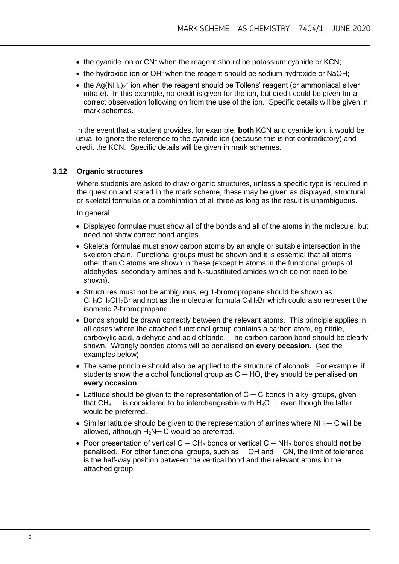- the cyanide ion or CN<sup>-</sup> when the reagent should be potassium cyanide or KCN;
- the hydroxide ion or OH<sup>-</sup> when the reagent should be sodium hydroxide or NaOH;
- the Ag(NH<sub>3</sub>)<sub>2</sub><sup>+</sup> ion when the reagent should be Tollens' reagent (or ammoniacal silver nitrate). In this example, no credit is given for the ion, but credit could be given for a correct observation following on from the use of the ion. Specific details will be given in mark schemes.

In the event that a student provides, for example, **both** KCN and cyanide ion, it would be usual to ignore the reference to the cyanide ion (because this is not contradictory) and credit the KCN. Specific details will be given in mark schemes.

#### **3.12 Organic structures**

Where students are asked to draw organic structures, unless a specific type is required in the question and stated in the mark scheme, these may be given as displayed, structural or skeletal formulas or a combination of all three as long as the result is unambiguous.

In general

- Displayed formulae must show all of the bonds and all of the atoms in the molecule, but need not show correct bond angles.
- Skeletal formulae must show carbon atoms by an angle or suitable intersection in the skeleton chain. Functional groups must be shown and it is essential that all atoms other than C atoms are shown in these (except H atoms in the functional groups of aldehydes, secondary amines and N-substituted amides which do not need to be shown).
- Structures must not be ambiguous, eg 1-bromopropane should be shown as  $CH<sub>3</sub>CH<sub>2</sub>CH<sub>2</sub>Br$  and not as the molecular formula  $C<sub>3</sub>H<sub>7</sub>Br$  which could also represent the isomeric 2-bromopropane.
- Bonds should be drawn correctly between the relevant atoms. This principle applies in all cases where the attached functional group contains a carbon atom, eg nitrile, carboxylic acid, aldehyde and acid chloride. The carbon-carbon bond should be clearly shown. Wrongly bonded atoms will be penalised **on every occasion**. (see the examples below)
- The same principle should also be applied to the structure of alcohols. For example, if students show the alcohol functional group as C ─ HO, they should be penalised **on every occasion**.
- Latitude should be given to the representation of  $C C$  bonds in alkyl groups, given that  $CH_3$ — is considered to be interchangeable with  $H_3C$ — even though the latter would be preferred.
- Similar latitude should be given to the representation of amines where  $NH<sub>2</sub>$  C will be allowed, although  $H_2N-C$  would be preferred.
- Poor presentation of vertical C ─ CH<sup>3</sup> bonds or vertical C ─ NH<sup>2</sup> bonds should **not** be  $penalised.$  For other functional groups, such as  $-$  OH and  $-$  CN, the limit of tolerance is the half-way position between the vertical bond and the relevant atoms in the attached group.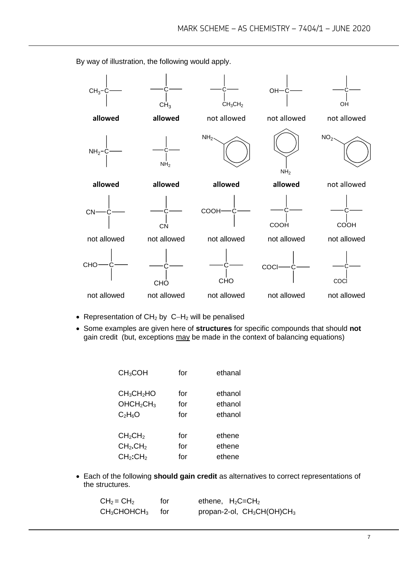$CH<sub>3</sub>$  $CH<sub>3</sub>$ C.  $CH<sub>3</sub>CH<sub>2</sub>$  $OH<sup>2</sup>$ OH **allowed allowed** not allowed not allowed not allowed  $NH<sub>2</sub>$  $N$ H<sub>2</sub>  $NH<sub>2</sub>$  $NH<sub>2</sub>$  $NO<sub>2</sub>$ **allowed allowed allowed allowed** not allowed  $CM$ CN **COOH** COOH C COOH not allowed not allowed not allowed not allowed not allowed **CHO** CHÒ C **CHO COCI** COCl not allowed not allowed not allowed not allowed not allowed

By way of illustration, the following would apply.

- Representation of CH<sup>2</sup> by C−H<sup>2</sup> will be penalised
- Some examples are given here of **structures** for specific compounds that should **not** gain credit (but, exceptions may be made in the context of balancing equations)

| CH <sub>3</sub> COH                | for | ethanal |
|------------------------------------|-----|---------|
| CH <sub>3</sub> CH <sub>2</sub> HO | for | ethanol |
| OHCH <sub>2</sub> CH <sub>3</sub>  | for | ethanol |
| $C_2H_6O$                          | for | ethanol |
| CH <sub>2</sub> CH <sub>2</sub>    | for | ethene  |
| CH <sub>2</sub> .CH <sub>2</sub>   | for | ethene  |
| CH <sub>2</sub> :CH <sub>2</sub>   | for | ethene  |

• Each of the following **should gain credit** as alternatives to correct representations of the structures.

| $CH2 = CH2$      | for | ethene, $H_2C = CH_2$                              |
|------------------|-----|----------------------------------------------------|
| $CH3CHOHCH3$ for |     | propan-2-ol, CH <sub>3</sub> CH(OH)CH <sub>3</sub> |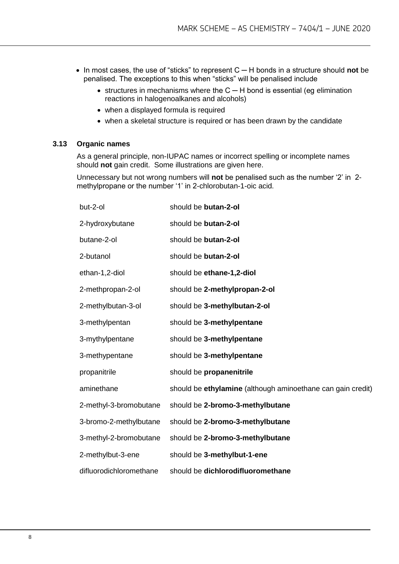- In most cases, the use of "sticks" to represent C ─ H bonds in a structure should **not** be penalised. The exceptions to this when "sticks" will be penalised include
	- structures in mechanisms where the C ─ H bond is essential (eg elimination reactions in halogenoalkanes and alcohols)
	- when a displayed formula is required
	- when a skeletal structure is required or has been drawn by the candidate

#### **3.13 Organic names**

As a general principle, non-IUPAC names or incorrect spelling or incomplete names should **not** gain credit. Some illustrations are given here.

Unnecessary but not wrong numbers will **not** be penalised such as the number '2' in 2 methylpropane or the number '1' in 2-chlorobutan-1-oic acid.

| but-2-ol                | should be butan-2-ol                                        |
|-------------------------|-------------------------------------------------------------|
| 2-hydroxybutane         | should be butan-2-ol                                        |
| butane-2-ol             | should be butan-2-ol                                        |
| 2-butanol               | should be butan-2-ol                                        |
| ethan-1,2-diol          | should be ethane-1,2-diol                                   |
| 2-methpropan-2-ol       | should be 2-methylpropan-2-ol                               |
| 2-methylbutan-3-ol      | should be 3-methylbutan-2-ol                                |
| 3-methylpentan          | should be 3-methylpentane                                   |
| 3-mythylpentane         | should be 3-methylpentane                                   |
| 3-methypentane          | should be 3-methylpentane                                   |
| propanitrile            | should be propanenitrile                                    |
| aminethane              | should be ethylamine (although aminoethane can gain credit) |
| 2-methyl-3-bromobutane  | should be 2-bromo-3-methylbutane                            |
| 3-bromo-2-methylbutane  | should be 2-bromo-3-methylbutane                            |
| 3-methyl-2-bromobutane  | should be 2-bromo-3-methylbutane                            |
| 2-methylbut-3-ene       | should be 3-methylbut-1-ene                                 |
| difluorodichloromethane | should be dichlorodifluoromethane                           |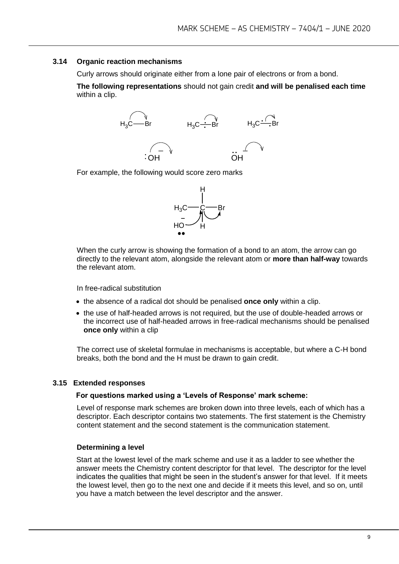#### **3.14 Organic reaction mechanisms**

Curly arrows should originate either from a lone pair of electrons or from a bond.

**The following representations** should not gain credit **and will be penalised each time**  within a clip.



For example, the following would score zero marks



When the curly arrow is showing the formation of a bond to an atom, the arrow can go directly to the relevant atom, alongside the relevant atom or **more than half-way** towards the relevant atom.

In free-radical substitution

- the absence of a radical dot should be penalised **once only** within a clip.
- the use of half-headed arrows is not required, but the use of double-headed arrows or the incorrect use of half-headed arrows in free-radical mechanisms should be penalised **once only** within a clip

The correct use of skeletal formulae in mechanisms is acceptable, but where a C-H bond breaks, both the bond and the H must be drawn to gain credit.

#### **3.15 Extended responses**

#### **For questions marked using a 'Levels of Response' mark scheme:**

Level of response mark schemes are broken down into three levels, each of which has a descriptor. Each descriptor contains two statements. The first statement is the Chemistry content statement and the second statement is the communication statement.

#### **Determining a level**

Start at the lowest level of the mark scheme and use it as a ladder to see whether the answer meets the Chemistry content descriptor for that level. The descriptor for the level indicates the qualities that might be seen in the student's answer for that level. If it meets the lowest level, then go to the next one and decide if it meets this level, and so on, until you have a match between the level descriptor and the answer.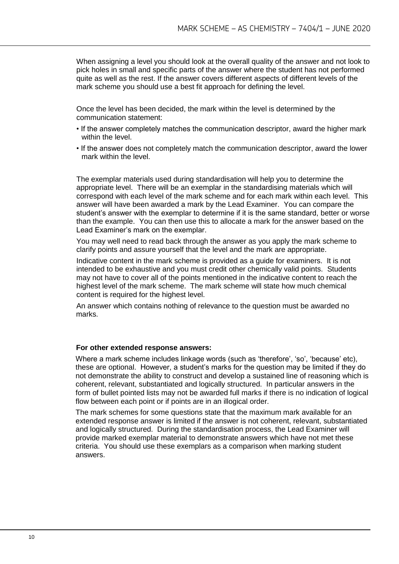When assigning a level you should look at the overall quality of the answer and not look to pick holes in small and specific parts of the answer where the student has not performed quite as well as the rest. If the answer covers different aspects of different levels of the mark scheme you should use a best fit approach for defining the level.

Once the level has been decided, the mark within the level is determined by the communication statement:

- If the answer completely matches the communication descriptor, award the higher mark within the level.
- If the answer does not completely match the communication descriptor, award the lower mark within the level.

The exemplar materials used during standardisation will help you to determine the appropriate level. There will be an exemplar in the standardising materials which will correspond with each level of the mark scheme and for each mark within each level. This answer will have been awarded a mark by the Lead Examiner. You can compare the student's answer with the exemplar to determine if it is the same standard, better or worse than the example. You can then use this to allocate a mark for the answer based on the Lead Examiner's mark on the exemplar.

You may well need to read back through the answer as you apply the mark scheme to clarify points and assure yourself that the level and the mark are appropriate.

Indicative content in the mark scheme is provided as a guide for examiners. It is not intended to be exhaustive and you must credit other chemically valid points. Students may not have to cover all of the points mentioned in the indicative content to reach the highest level of the mark scheme. The mark scheme will state how much chemical content is required for the highest level.

An answer which contains nothing of relevance to the question must be awarded no marks.

#### **For other extended response answers:**

Where a mark scheme includes linkage words (such as 'therefore', 'so', 'because' etc), these are optional. However, a student's marks for the question may be limited if they do not demonstrate the ability to construct and develop a sustained line of reasoning which is coherent, relevant, substantiated and logically structured. In particular answers in the form of bullet pointed lists may not be awarded full marks if there is no indication of logical flow between each point or if points are in an illogical order.

The mark schemes for some questions state that the maximum mark available for an extended response answer is limited if the answer is not coherent, relevant, substantiated and logically structured. During the standardisation process, the Lead Examiner will provide marked exemplar material to demonstrate answers which have not met these criteria. You should use these exemplars as a comparison when marking student answers.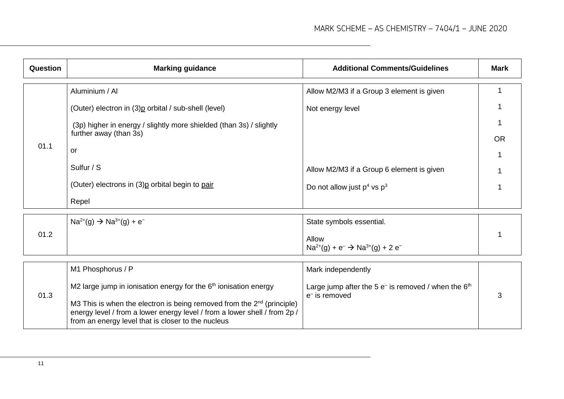| Question | <b>Marking guidance</b>                                                                                                                                                                                                                                                           | <b>Additional Comments/Guidelines</b>                                        | <b>Mark</b> |
|----------|-----------------------------------------------------------------------------------------------------------------------------------------------------------------------------------------------------------------------------------------------------------------------------------|------------------------------------------------------------------------------|-------------|
|          | Aluminium / Al                                                                                                                                                                                                                                                                    | Allow M2/M3 if a Group 3 element is given                                    |             |
|          | (Outer) electron in (3)p orbital / sub-shell (level)                                                                                                                                                                                                                              | Not energy level                                                             |             |
|          | (3p) higher in energy / slightly more shielded (than 3s) / slightly<br>further away (than 3s)                                                                                                                                                                                     |                                                                              | <b>OR</b>   |
| 01.1     | or                                                                                                                                                                                                                                                                                |                                                                              |             |
|          | Sulfur / S                                                                                                                                                                                                                                                                        | Allow M2/M3 if a Group 6 element is given                                    |             |
|          | (Outer) electrons in (3) p orbital begin to pair                                                                                                                                                                                                                                  | Do not allow just $p^4$ vs $p^3$                                             |             |
|          | Repel                                                                                                                                                                                                                                                                             |                                                                              |             |
|          | $Na^{2+}(g) \rightarrow Na^{3+}(g) + e^{-}$                                                                                                                                                                                                                                       | State symbols essential.                                                     |             |
| 01.2     |                                                                                                                                                                                                                                                                                   | Allow<br>$Na^{2+}(g) + e^{-} \rightarrow Na^{3+}(g) + 2 e^{-}$               |             |
|          | M1 Phosphorus / P                                                                                                                                                                                                                                                                 | Mark independently                                                           |             |
| 01.3     | M2 large jump in ionisation energy for the $6th$ ionisation energy<br>M3 This is when the electron is being removed from the $2nd$ (principle)<br>energy level / from a lower energy level / from a lower shell / from 2p /<br>from an energy level that is closer to the nucleus | Large jump after the 5 $e^-$ is removed / when the $6th$<br>$e^-$ is removed | 3           |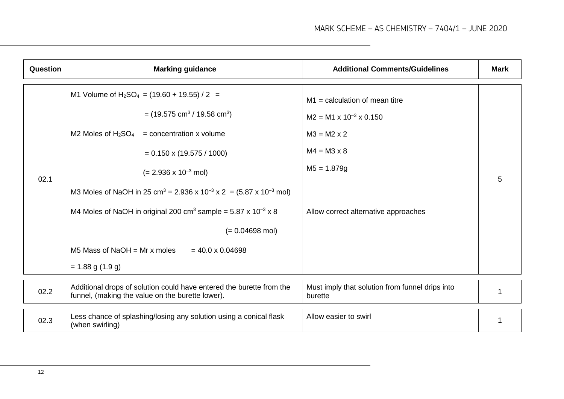| <b>Question</b> | <b>Marking guidance</b>                                                                                                                                                                                                                                                                                                                                                                                                                                                                                                                                                   | <b>Additional Comments/Guidelines</b>                                                                                                                                          | <b>Mark</b> |
|-----------------|---------------------------------------------------------------------------------------------------------------------------------------------------------------------------------------------------------------------------------------------------------------------------------------------------------------------------------------------------------------------------------------------------------------------------------------------------------------------------------------------------------------------------------------------------------------------------|--------------------------------------------------------------------------------------------------------------------------------------------------------------------------------|-------------|
| 02.1            | M1 Volume of H <sub>2</sub> SO <sub>4</sub> = $(19.60 + 19.55) / 2$ =<br>$=$ (19.575 cm <sup>3</sup> / 19.58 cm <sup>3</sup> )<br>M2 Moles of $H_2SO_4$ = concentration x volume<br>$= 0.150 \times (19.575 / 1000)$<br>$(= 2.936 \times 10^{-3} \text{ mol})$<br>M3 Moles of NaOH in 25 cm <sup>3</sup> = 2.936 x 10 <sup>-3</sup> x 2 = (5.87 x 10 <sup>-3</sup> mol)<br>M4 Moles of NaOH in original 200 cm <sup>3</sup> sample = $5.87 \times 10^{-3} \times 8$<br>$(= 0.04698$ mol)<br>M5 Mass of NaOH = Mr x moles<br>$= 40.0 \times 0.04698$<br>$= 1.88$ g (1.9 g) | $M1$ = calculation of mean titre<br>$M2 = M1 \times 10^{-3} \times 0.150$<br>$M3 = M2 \times 2$<br>$M4 = M3 \times 8$<br>$M5 = 1.879g$<br>Allow correct alternative approaches | 5.          |
|                 |                                                                                                                                                                                                                                                                                                                                                                                                                                                                                                                                                                           |                                                                                                                                                                                |             |
| 02.2            | Additional drops of solution could have entered the burette from the<br>funnel, (making the value on the burette lower).                                                                                                                                                                                                                                                                                                                                                                                                                                                  | Must imply that solution from funnel drips into<br>burette                                                                                                                     | 1           |
| 02.3            | Less chance of splashing/losing any solution using a conical flask<br>(when swirling)                                                                                                                                                                                                                                                                                                                                                                                                                                                                                     | Allow easier to swirl                                                                                                                                                          | 1           |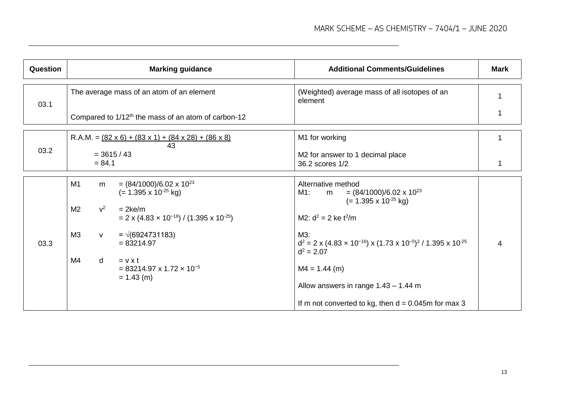| <b>Question</b> |                                                                     | <b>Marking guidance</b>                                                                                                                                                                                                                                                            | <b>Additional Comments/Guidelines</b>                                                                                                                                                                                                                                              | Mark |
|-----------------|---------------------------------------------------------------------|------------------------------------------------------------------------------------------------------------------------------------------------------------------------------------------------------------------------------------------------------------------------------------|------------------------------------------------------------------------------------------------------------------------------------------------------------------------------------------------------------------------------------------------------------------------------------|------|
| 03.1            |                                                                     | The average mass of an atom of an element                                                                                                                                                                                                                                          | (Weighted) average mass of all isotopes of an<br>element                                                                                                                                                                                                                           |      |
|                 |                                                                     | Compared to 1/12 <sup>th</sup> the mass of an atom of carbon-12                                                                                                                                                                                                                    |                                                                                                                                                                                                                                                                                    |      |
|                 |                                                                     | R.A.M. = $(82 \times 6) + (83 \times 1) + (84 \times 28) + (86 \times 8)$<br>43                                                                                                                                                                                                    | M1 for working                                                                                                                                                                                                                                                                     |      |
| 03.2            | $= 84.1$                                                            | $= 3615 / 43$                                                                                                                                                                                                                                                                      | M2 for answer to 1 decimal place<br>36.2 scores 1/2                                                                                                                                                                                                                                |      |
| 03.3            | M1<br>m<br>M <sub>2</sub><br>$v^2$<br>M3<br>V<br>M4<br>$\mathsf{d}$ | $= (84/1000)/6.02 \times 10^{23}$<br>$(= 1.395 \times 10^{-25} \text{ kg})$<br>$= 2$ ke/m<br>$= 2 \times (4.83 \times 10^{-16}) / (1.395 \times 10^{-25})$<br>$= \sqrt{(6924731183)}$<br>$= 83214.97$<br>$= v \times t$<br>$= 83214.97 \times 1.72 \times 10^{-5}$<br>$= 1.43$ (m) | Alternative method<br>M1: m = $(84/1000)/6.02 \times 10^{23}$<br>$(= 1.395 \times 10^{-25} \text{ kg})$<br>M2: $d^2 = 2$ ke $t^2/m$<br>$M3$ :<br>$d^2 = 2 \times (4.83 \times 10^{-16}) \times (1.73 \times 10^{-5})^2 / 1.395 \times 10^{-25}$<br>$d^2 = 2.07$<br>$M4 = 1.44$ (m) | 4    |
|                 |                                                                     |                                                                                                                                                                                                                                                                                    | Allow answers in range $1.43 - 1.44$ m<br>If m not converted to kg, then $d = 0.045$ m for max 3                                                                                                                                                                                   |      |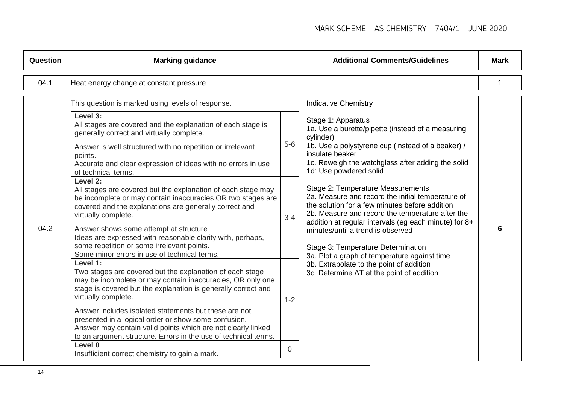| Question | <b>Marking guidance</b>                                                                                                                                                                                                                                                                                                                                                                                                                                                                                                                                                                                                                                                                                                                                                                                                                                                                                                                                                                                                                                                                                                                                                                                                                                                                                                    |                                  | <b>Additional Comments/Guidelines</b>                                                                                                                                                                                                                                                                                                                                                                                                                                                                                                                                                                                                                                                                                                                   | <b>Mark</b> |
|----------|----------------------------------------------------------------------------------------------------------------------------------------------------------------------------------------------------------------------------------------------------------------------------------------------------------------------------------------------------------------------------------------------------------------------------------------------------------------------------------------------------------------------------------------------------------------------------------------------------------------------------------------------------------------------------------------------------------------------------------------------------------------------------------------------------------------------------------------------------------------------------------------------------------------------------------------------------------------------------------------------------------------------------------------------------------------------------------------------------------------------------------------------------------------------------------------------------------------------------------------------------------------------------------------------------------------------------|----------------------------------|---------------------------------------------------------------------------------------------------------------------------------------------------------------------------------------------------------------------------------------------------------------------------------------------------------------------------------------------------------------------------------------------------------------------------------------------------------------------------------------------------------------------------------------------------------------------------------------------------------------------------------------------------------------------------------------------------------------------------------------------------------|-------------|
| 04.1     | Heat energy change at constant pressure                                                                                                                                                                                                                                                                                                                                                                                                                                                                                                                                                                                                                                                                                                                                                                                                                                                                                                                                                                                                                                                                                                                                                                                                                                                                                    |                                  |                                                                                                                                                                                                                                                                                                                                                                                                                                                                                                                                                                                                                                                                                                                                                         | 1           |
| 04.2     | This question is marked using levels of response.<br>Level 3:<br>All stages are covered and the explanation of each stage is<br>generally correct and virtually complete.<br>Answer is well structured with no repetition or irrelevant<br>points.<br>Accurate and clear expression of ideas with no errors in use<br>of technical terms.<br>Level 2:<br>All stages are covered but the explanation of each stage may<br>be incomplete or may contain inaccuracies OR two stages are<br>covered and the explanations are generally correct and<br>virtually complete.<br>Answer shows some attempt at structure<br>Ideas are expressed with reasonable clarity with, perhaps,<br>some repetition or some irrelevant points.<br>Some minor errors in use of technical terms.<br>Level 1:<br>Two stages are covered but the explanation of each stage<br>may be incomplete or may contain inaccuracies, OR only one<br>stage is covered but the explanation is generally correct and<br>virtually complete.<br>Answer includes isolated statements but these are not<br>presented in a logical order or show some confusion.<br>Answer may contain valid points which are not clearly linked<br>to an argument structure. Errors in the use of technical terms.<br>Level 0<br>Insufficient correct chemistry to gain a mark. | $5-6$<br>$3 - 4$<br>$1 - 2$<br>0 | <b>Indicative Chemistry</b><br>Stage 1: Apparatus<br>1a. Use a burette/pipette (instead of a measuring<br>cylinder)<br>1b. Use a polystyrene cup (instead of a beaker) /<br>insulate beaker<br>1c. Reweigh the watchglass after adding the solid<br>1d: Use powdered solid<br>Stage 2: Temperature Measurements<br>2a. Measure and record the initial temperature of<br>the solution for a few minutes before addition<br>2b. Measure and record the temperature after the<br>addition at regular intervals (eg each minute) for 8+<br>minutes/until a trend is observed<br>Stage 3: Temperature Determination<br>3a. Plot a graph of temperature against time<br>3b. Extrapolate to the point of addition<br>3c. Determine ∆T at the point of addition | 6           |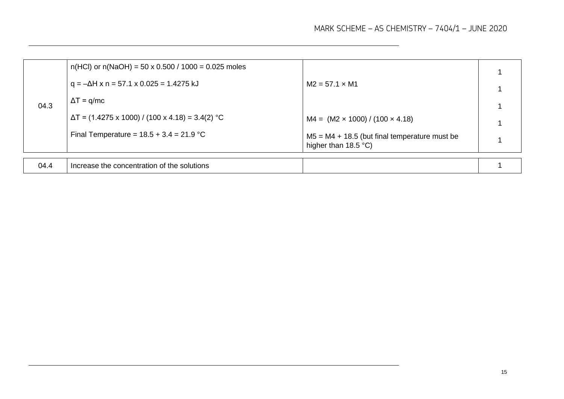| 04.3 | $n(HCl)$ or $n(NaOH) = 50 \times 0.500 / 1000 = 0.025$ moles |                                                                                   |  |
|------|--------------------------------------------------------------|-----------------------------------------------------------------------------------|--|
|      | $q = -\Delta H$ x n = 57.1 x 0.025 = 1.4275 kJ               | $M2 = 57.1 \times M1$                                                             |  |
|      | $\Delta T = q/mc$                                            |                                                                                   |  |
|      | $\Delta T$ = (1.4275 x 1000) / (100 x 4.18) = 3.4(2) °C      | $M4 = (M2 \times 1000) / (100 \times 4.18)$                                       |  |
|      | Final Temperature = $18.5 + 3.4 = 21.9$ °C                   | $M5 = M4 + 18.5$ (but final temperature must be<br>higher than $18.5 \degree C$ ) |  |
|      |                                                              |                                                                                   |  |
| 04.4 | Increase the concentration of the solutions                  |                                                                                   |  |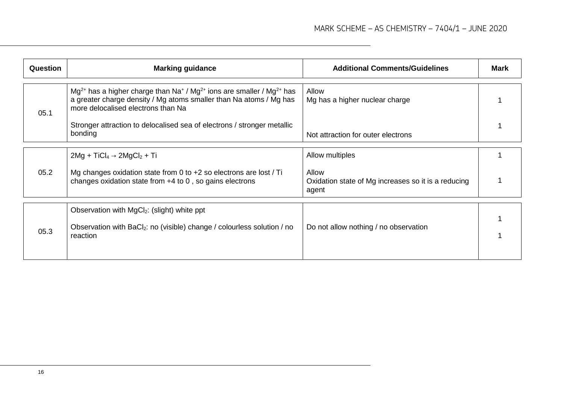| <b>Question</b> | <b>Marking guidance</b>                                                                                                                                                                                                   | <b>Additional Comments/Guidelines</b>                                 | <b>Mark</b> |
|-----------------|---------------------------------------------------------------------------------------------------------------------------------------------------------------------------------------------------------------------------|-----------------------------------------------------------------------|-------------|
| 05.1            | $Mg^{2+}$ has a higher charge than Na <sup>+</sup> / Mg <sup>2+</sup> ions are smaller / Mg <sup>2+</sup> has<br>a greater charge density / Mg atoms smaller than Na atoms / Mg has<br>more delocalised electrons than Na | Allow<br>Mg has a higher nuclear charge                               |             |
|                 | Stronger attraction to delocalised sea of electrons / stronger metallic<br>bonding                                                                                                                                        | Not attraction for outer electrons                                    |             |
|                 | $2Mg + TiCl_4 \rightarrow 2MgCl_2 + Ti$                                                                                                                                                                                   | Allow multiples                                                       |             |
| 05.2            | Mg changes oxidation state from 0 to $+2$ so electrons are lost / Ti<br>changes oxidation state from $+4$ to 0, so gains electrons                                                                                        | Allow<br>Oxidation state of Mg increases so it is a reducing<br>agent |             |
|                 | Observation with MgCl <sub>2</sub> : (slight) white ppt                                                                                                                                                                   |                                                                       |             |
| 05.3            | Observation with BaCl <sub>2</sub> : no (visible) change / colourless solution / no<br>reaction                                                                                                                           | Do not allow nothing / no observation                                 |             |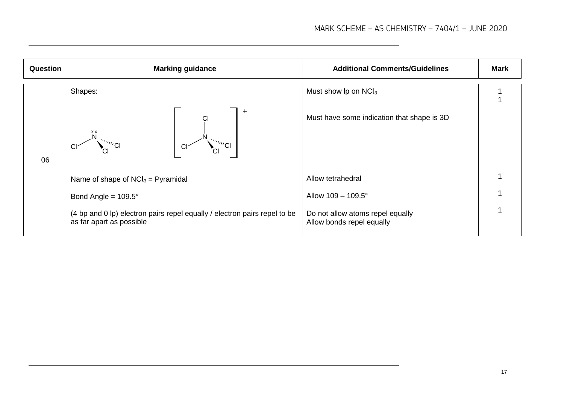| Question | <b>Marking guidance</b>                                                                                                                                                                                                                                       | <b>Additional Comments/Guidelines</b>                         | <b>Mark</b> |
|----------|---------------------------------------------------------------------------------------------------------------------------------------------------------------------------------------------------------------------------------------------------------------|---------------------------------------------------------------|-------------|
| 06       | Shapes:                                                                                                                                                                                                                                                       | Must show $lp$ on NC $l_3$                                    |             |
|          | ٠<br><b>XX</b><br>$\mathbb{E}[\mathbb{E}_{\mathbb{E}_{\mathbb{E}_{\mathbb{E}_{\mathbb{E}_{\mathbb{E}_{\mathbb{E}_{\mathbb{E}_{\mathbb{E}}}}}}}}\mathbb{E}_{\mathbb{E}_{\mathbb{E}_{\mathbb{E}_{\mathbb{E}}}}}}]$<br>$\mathbb{C}^{n_{\mathcal{U}}}\mathsf{Cl}$ | Must have some indication that shape is 3D                    |             |
|          | Name of shape of $NCI_3 = Pyramidal$                                                                                                                                                                                                                          | Allow tetrahedral                                             |             |
|          | Bond Angle = $109.5^\circ$                                                                                                                                                                                                                                    | Allow $109 - 109.5^{\circ}$                                   |             |
|          | (4 bp and 0 lp) electron pairs repel equally / electron pairs repel to be<br>as far apart as possible                                                                                                                                                         | Do not allow atoms repel equally<br>Allow bonds repel equally |             |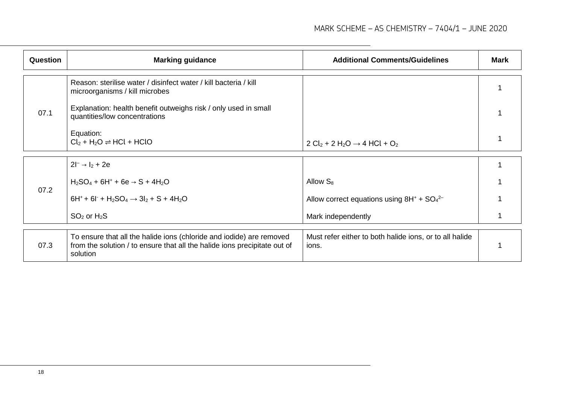| Question | <b>Marking guidance</b>                                                                                                                                       | <b>Additional Comments/Guidelines</b>                            | <b>Mark</b> |
|----------|---------------------------------------------------------------------------------------------------------------------------------------------------------------|------------------------------------------------------------------|-------------|
|          | Reason: sterilise water / disinfect water / kill bacteria / kill<br>microorganisms / kill microbes                                                            |                                                                  |             |
| 07.1     | Explanation: health benefit outweighs risk / only used in small<br>quantities/low concentrations                                                              |                                                                  |             |
|          | Equation:<br>$Cl_2 + H_2O \rightleftharpoons HCl + HClO$                                                                                                      | $2 Cl_2 + 2 H_2O \rightarrow 4 HCl + O_2$                        |             |
|          | $2l^{-} \rightarrow l_{2} + 2e$                                                                                                                               |                                                                  |             |
|          | $H_2SO_4 + 6H^+ + 6e \rightarrow S + 4H_2O$                                                                                                                   | Allow $S_8$                                                      |             |
| 07.2     | $6H^+ + 6I^+ + H_2SO_4 \rightarrow 3I_2 + S + 4H_2O$                                                                                                          | Allow correct equations using $8H^+ + SO_4^{2-}$                 |             |
|          | $SO2$ or $H2S$                                                                                                                                                | Mark independently                                               |             |
| 07.3     | To ensure that all the halide ions (chloride and iodide) are removed<br>from the solution / to ensure that all the halide ions precipitate out of<br>solution | Must refer either to both halide ions, or to all halide<br>ions. |             |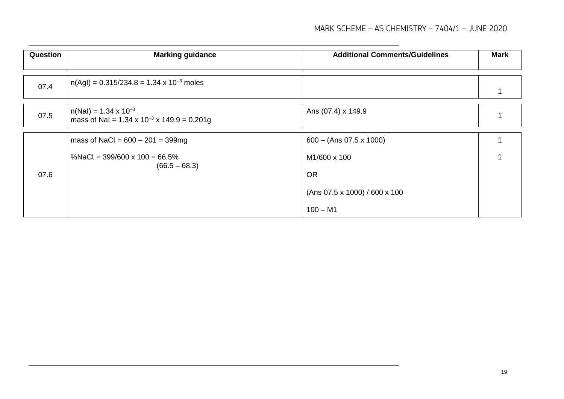#### MARK SCHEME – AS CHEMISTRY – 7404/1 – JUNE 2020

| <b>Question</b> | <b>Marking guidance</b>                                                                     | <b>Additional Comments/Guidelines</b> | <b>Mark</b> |
|-----------------|---------------------------------------------------------------------------------------------|---------------------------------------|-------------|
|                 |                                                                                             |                                       |             |
| 07.4            | $n(Agl) = 0.315/234.8 = 1.34 \times 10^{-3}$ moles                                          |                                       |             |
| 07.5            | $n(Nal) = 1.34 \times 10^{-3}$<br>mass of NaI = $1.34 \times 10^{-3} \times 149.9 = 0.201g$ | Ans (07.4) x 149.9                    |             |
| 07.6            | mass of NaCl = $600 - 201 = 399mg$                                                          | $600 - (Ans 07.5 x 1000)$             |             |
|                 | %NaCl = $399/600 \times 100 = 66.5\%$<br>$(66.5 - 68.3)$                                    | M1/600 x 100                          |             |
|                 |                                                                                             | <b>OR</b>                             |             |
|                 |                                                                                             | (Ans 07.5 x 1000) / 600 x 100         |             |
|                 |                                                                                             | $100 - M1$                            |             |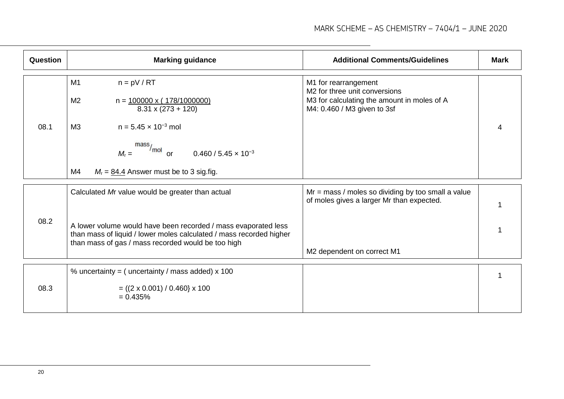| Question | <b>Marking guidance</b>                                                                                                                                                                     | <b>Additional Comments/Guidelines</b>                                                                                                           | <b>Mark</b> |
|----------|---------------------------------------------------------------------------------------------------------------------------------------------------------------------------------------------|-------------------------------------------------------------------------------------------------------------------------------------------------|-------------|
|          | M1<br>$n = pV / RT$<br>M <sub>2</sub><br>$n = 100000 \times (178/1000000)$<br>$8.31 \times (273 + 120)$                                                                                     | M1 for rearrangement<br>M <sub>2</sub> for three unit conversions<br>M3 for calculating the amount in moles of A<br>M4: 0.460 / M3 given to 3sf |             |
| 08.1     | M3<br>$n = 5.45 \times 10^{-3}$ mol<br>mass<br>/mol<br>$0.460 / 5.45 \times 10^{-3}$<br>$M_r =$<br>$\alpha$                                                                                 |                                                                                                                                                 |             |
|          | M4<br>$M_r = 84.4$ Answer must be to 3 sig.fig.                                                                                                                                             |                                                                                                                                                 |             |
| 08.2     | Calculated Mr value would be greater than actual                                                                                                                                            | $Mr = mass / moles so dividing by too small a value$<br>of moles gives a larger Mr than expected.                                               |             |
|          | A lower volume would have been recorded / mass evaporated less<br>than mass of liquid / lower moles calculated / mass recorded higher<br>than mass of gas / mass recorded would be too high | M2 dependent on correct M1                                                                                                                      |             |
| 08.3     | % uncertainty = $($ uncertainty $/$ mass added) x 100<br>$= ((2 \times 0.001) / 0.460) \times 100$<br>$= 0.435%$                                                                            |                                                                                                                                                 |             |